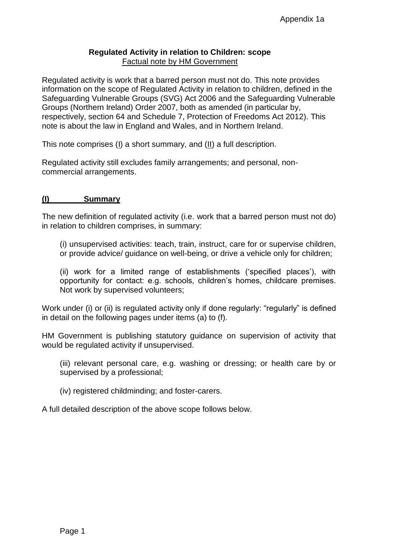### **Regulated Activity in relation to Children: scope** Factual note by HM Government

Regulated activity is work that a barred person must not do. This note provides information on the scope of Regulated Activity in relation to children, defined in the Safeguarding Vulnerable Groups (SVG) Act 2006 and the Safeguarding Vulnerable Groups (Northern Ireland) Order 2007, both as amended (in particular by, respectively, section 64 and Schedule 7, Protection of Freedoms Act 2012). This note is about the law in England and Wales, and in Northern Ireland.

This note comprises (I) a short summary, and (II) a full description.

Regulated activity still excludes family arrangements; and personal, noncommercial arrangements.

### **(I) Summary**

The new definition of regulated activity (i.e. work that a barred person must not do) in relation to children comprises, in summary:

(i) unsupervised activities: teach, train, instruct, care for or supervise children, or provide advice/ guidance on well-being, or drive a vehicle only for children;

(ii) work for a limited range of establishments ('specified places'), with opportunity for contact: e.g. schools, children's homes, childcare premises. Not work by supervised volunteers;

Work under (i) or (ii) is regulated activity only if done regularly: "regularly" is defined in detail on the following pages under items (a) to (f).

HM Government is publishing statutory guidance on supervision of activity that would be regulated activity if unsupervised.

(iii) relevant personal care, e.g. washing or dressing; or health care by or supervised by a professional;

(iv) registered childminding; and foster-carers.

A full detailed description of the above scope follows below.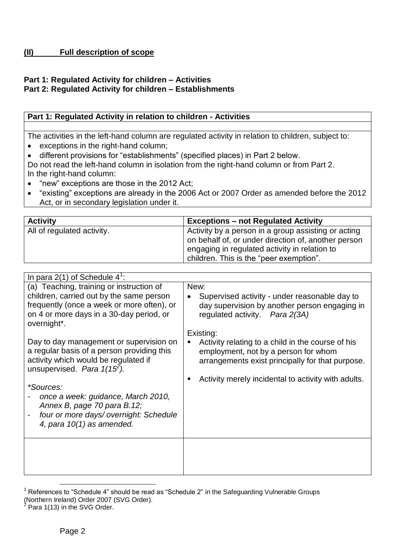## **(II) Full description of scope**

#### **Part 1: Regulated Activity for children – Activities Part 2: Regulated Activity for children – Establishments**

| Part 1: Regulated Activity in relation to children - Activities |  |
|-----------------------------------------------------------------|--|
|                                                                 |  |

The activities in the left-hand column are regulated activity in relation to children, subject to:

- exceptions in the right-hand column;
- different provisions for "establishments" (specified places) in Part 2 below.

Do not read the left-hand column in isolation from the right-hand column or from Part 2. In the right-hand column:

- "new" exceptions are those in the 2012 Act;
- "existing" exceptions are already in the 2006 Act or 2007 Order as amended before the 2012 Act, or in secondary legislation under it.

| <b>Activity</b>            | <b>Exceptions – not Regulated Activity</b>                                                                                                                                                             |
|----------------------------|--------------------------------------------------------------------------------------------------------------------------------------------------------------------------------------------------------|
| All of regulated activity. | Activity by a person in a group assisting or acting<br>on behalf of, or under direction of, another person<br>engaging in regulated activity in relation to<br>children. This is the "peer exemption". |

| In para $2(1)$ of Schedule $4^1$ :                                     |                                                          |
|------------------------------------------------------------------------|----------------------------------------------------------|
| (a) Teaching, training or instruction of                               | New:                                                     |
| children, carried out by the same person                               | Supervised activity - under reasonable day to            |
| frequently (once a week or more often), or                             | day supervision by another person engaging in            |
| on 4 or more days in a 30-day period, or                               | regulated activity. Para 2(3A)                           |
| overnight*.                                                            | Existing:                                                |
|                                                                        |                                                          |
| Day to day management or supervision on                                | Activity relating to a child in the course of his<br>٠   |
| a regular basis of a person providing this                             | employment, not by a person for whom                     |
| activity which would be regulated if<br>unsupervised. Para $1(15^2)$ . | arrangements exist principally for that purpose.         |
|                                                                        |                                                          |
|                                                                        | Activity merely incidental to activity with adults.<br>п |
| *Sources:                                                              |                                                          |
| once a week: guidance, March 2010,                                     |                                                          |
| Annex B, page 70 para B.12;                                            |                                                          |
| four or more days/overnight: Schedule                                  |                                                          |
| 4, para $10(1)$ as amended.                                            |                                                          |
|                                                                        |                                                          |
|                                                                        |                                                          |
|                                                                        |                                                          |
|                                                                        |                                                          |
|                                                                        |                                                          |

<sup>&</sup>lt;u>.</u> References to "Schedule 4" should be read as "Schedule 2" in the Safeguarding Vulnerable Groups (Northern Ireland) Order 2007 (SVG Order).

Para 1(13) in the SVG Order.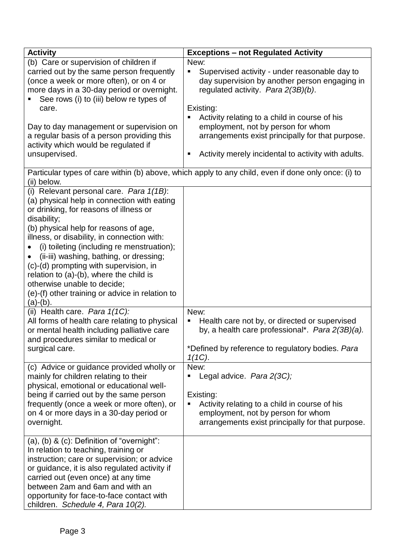| <b>Activity</b>                                                                                                                                                                                                                                                                                                                                                                                                                                                                                                        | <b>Exceptions - not Regulated Activity</b>                                                                                                                                                                                                                                                                                                                  |  |
|------------------------------------------------------------------------------------------------------------------------------------------------------------------------------------------------------------------------------------------------------------------------------------------------------------------------------------------------------------------------------------------------------------------------------------------------------------------------------------------------------------------------|-------------------------------------------------------------------------------------------------------------------------------------------------------------------------------------------------------------------------------------------------------------------------------------------------------------------------------------------------------------|--|
| (b) Care or supervision of children if<br>carried out by the same person frequently<br>(once a week or more often), or on 4 or<br>more days in a 30-day period or overnight.<br>See rows (i) to (iii) below re types of<br>care.<br>Day to day management or supervision on<br>a regular basis of a person providing this<br>activity which would be regulated if<br>unsupervised.                                                                                                                                     | New:<br>Supervised activity - under reasonable day to<br>day supervision by another person engaging in<br>regulated activity. Para 2(3B)(b).<br>Existing:<br>Activity relating to a child in course of his<br>employment, not by person for whom<br>arrangements exist principally for that purpose.<br>Activity merely incidental to activity with adults. |  |
| Particular types of care within (b) above, which apply to any child, even if done only once: (i) to<br>(ii) below.                                                                                                                                                                                                                                                                                                                                                                                                     |                                                                                                                                                                                                                                                                                                                                                             |  |
| (i) Relevant personal care. Para 1(1B):<br>(a) physical help in connection with eating<br>or drinking, for reasons of illness or<br>disability;<br>(b) physical help for reasons of age,<br>illness, or disability, in connection with:<br>(i) toileting (including re menstruation);<br>(ii-iii) washing, bathing, or dressing;<br>(c)-(d) prompting with supervision, in<br>relation to (a)-(b), where the child is<br>otherwise unable to decide;<br>(e)-(f) other training or advice in relation to<br>$(a)-(b)$ . |                                                                                                                                                                                                                                                                                                                                                             |  |
| (ii) Health care. Para $1(1C)$ :<br>All forms of health care relating to physical<br>or mental health including palliative care<br>and procedures similar to medical or<br>surgical care.                                                                                                                                                                                                                                                                                                                              | New:<br>Health care not by, or directed or supervised<br>п<br>by, a health care professional*. Para 2(3B)(a).<br>*Defined by reference to regulatory bodies. Para<br>1(1C)                                                                                                                                                                                  |  |
| (c) Advice or guidance provided wholly or<br>mainly for children relating to their<br>physical, emotional or educational well-<br>being if carried out by the same person<br>frequently (once a week or more often), or<br>on 4 or more days in a 30-day period or<br>overnight.                                                                                                                                                                                                                                       | New:<br>Legal advice. Para 2(3C);<br>п<br>Existing:<br>Activity relating to a child in course of his<br>Е<br>employment, not by person for whom<br>arrangements exist principally for that purpose.                                                                                                                                                         |  |
| (a), (b) & (c): Definition of "overnight":<br>In relation to teaching, training or<br>instruction; care or supervision; or advice<br>or guidance, it is also regulated activity if<br>carried out (even once) at any time<br>between 2am and 6am and with an<br>opportunity for face-to-face contact with<br>children. Schedule 4, Para 10(2).                                                                                                                                                                         |                                                                                                                                                                                                                                                                                                                                                             |  |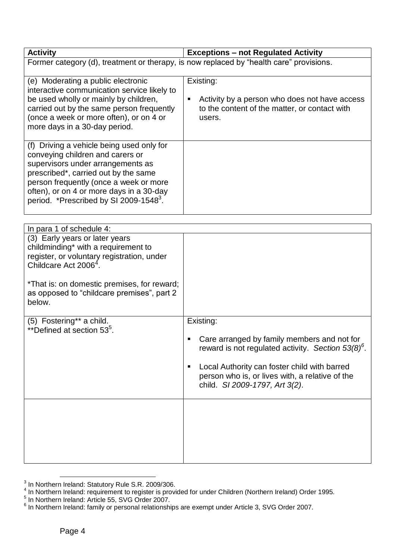| <b>Activity</b>                                                                                                                                                                                                                                                                                        | <b>Exceptions - not Regulated Activity</b>                                                                                                                                                                                                                       |  |
|--------------------------------------------------------------------------------------------------------------------------------------------------------------------------------------------------------------------------------------------------------------------------------------------------------|------------------------------------------------------------------------------------------------------------------------------------------------------------------------------------------------------------------------------------------------------------------|--|
| Former category (d), treatment or therapy, is now replaced by "health care" provisions.                                                                                                                                                                                                                |                                                                                                                                                                                                                                                                  |  |
| (e) Moderating a public electronic<br>interactive communication service likely to<br>be used wholly or mainly by children,<br>carried out by the same person frequently<br>(once a week or more often), or on 4 or<br>more days in a 30-day period.                                                    | Existing:<br>Activity by a person who does not have access<br>П<br>to the content of the matter, or contact with<br>users.                                                                                                                                       |  |
| (f) Driving a vehicle being used only for<br>conveying children and carers or<br>supervisors under arrangements as<br>prescribed*, carried out by the same<br>person frequently (once a week or more<br>often), or on 4 or more days in a 30-day<br>period. *Prescribed by SI 2009-1548 <sup>3</sup> . |                                                                                                                                                                                                                                                                  |  |
| In para 1 of schedule 4:                                                                                                                                                                                                                                                                               |                                                                                                                                                                                                                                                                  |  |
| (3) Early years or later years<br>childminding* with a requirement to<br>register, or voluntary registration, under<br>Childcare Act 2006 <sup>4</sup> .<br>*That is: on domestic premises, for reward;<br>as opposed to "childcare premises", part 2<br>below.                                        |                                                                                                                                                                                                                                                                  |  |
| (5) Fostering** a child.<br>**Defined at section 53 <sup>5</sup> .                                                                                                                                                                                                                                     | Existing:<br>Care arranged by family members and not for<br>П<br>reward is not regulated activity. Section $53(8)^6$ .<br>Local Authority can foster child with barred<br>п<br>person who is, or lives with, a relative of the<br>child. SI 2009-1797, Art 3(2). |  |
|                                                                                                                                                                                                                                                                                                        |                                                                                                                                                                                                                                                                  |  |

<sup>&</sup>lt;sup>3</sup> In Northern Ireland: Statutory Rule S.R. 2009/306.<br><sup>4</sup> In Northern Ireland: requirement to register is provided for under Children (Northern Ireland) Order 1995.<br><sup>5</sup> In Northern Ireland: Article 55, SVG Order 2007.<br><sup>6</sup>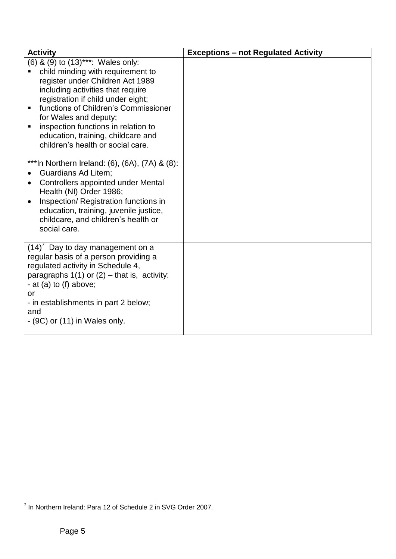| <b>Activity</b>                                                                                                                                                                                                                                                                                                                                                               | <b>Exceptions - not Regulated Activity</b> |
|-------------------------------------------------------------------------------------------------------------------------------------------------------------------------------------------------------------------------------------------------------------------------------------------------------------------------------------------------------------------------------|--------------------------------------------|
| (6) & (9) to (13)***: Wales only:<br>child minding with requirement to<br>register under Children Act 1989<br>including activities that require<br>registration if child under eight;<br>functions of Children's Commissioner<br>for Wales and deputy;<br>inspection functions in relation to<br>٠<br>education, training, childcare and<br>children's health or social care. |                                            |
| ***In Northern Ireland: $(6)$ , $(6A)$ , $(7A)$ & $(8)$ :<br><b>Guardians Ad Litem;</b><br>Controllers appointed under Mental<br>Health (NI) Order 1986;<br>Inspection/ Registration functions in<br>education, training, juvenile justice,<br>childcare, and children's health or<br>social care.                                                                            |                                            |
| $(14)'$ Day to day management on a<br>regular basis of a person providing a<br>regulated activity in Schedule 4,<br>paragraphs $1(1)$ or $(2)$ – that is, activity:<br>- at (a) to (f) above;<br>or<br>- in establishments in part 2 below;<br>and<br>$-$ (9C) or (11) in Wales only.                                                                                         |                                            |

 7 In Northern Ireland: Para 12 of Schedule 2 in SVG Order 2007.